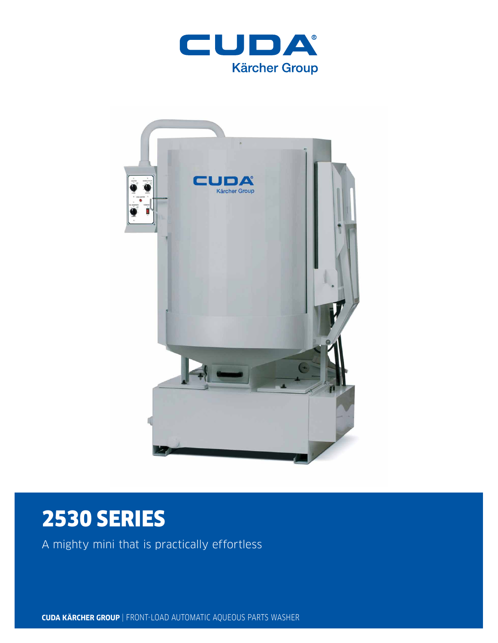



# 2530 SERIES

A mighty mini that is practically effortless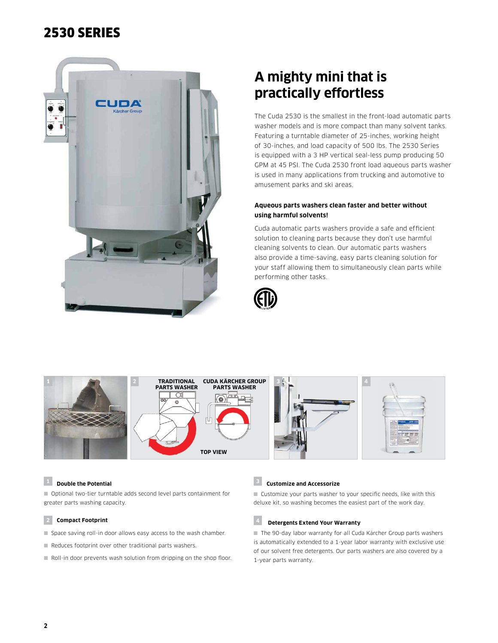# 2530 SERIES



# **A mighty mini that is practically effortless**

The Cuda 2530 is the smallest in the front-load automatic parts washer models and is more compact than many solvent tanks. Featuring a turntable diameter of 25-inches, working height of 30-inches, and load capacity of 500 lbs. The 2530 Series is equipped with a 3 HP vertical seal-less pump producing 50 GPM at 45 PSI. The Cuda 2530 front load aqueous parts washer is used in many applications from trucking and automotive to amusement parks and ski areas.

# **Aqueous parts washers clean faster and better without using harmful solvents!**

Cuda automatic parts washers provide a safe and efficient solution to cleaning parts because they don't use harmful cleaning solvents to clean. Our automatic parts washers also provide a time-saving, easy parts cleaning solution for your staff allowing them to simultaneously clean parts while performing other tasks.





# **<sup>1</sup> Double the Potential**

■ Optional two-tier turntable adds second level parts containment for greater parts washing capacity.

### **2 Compact Footprint**

- Space saving roll-in door allows easy access to the wash chamber.
- Reduces footprint over other traditional parts washers.
- Roll-in door prevents wash solution from dripping on the shop floor.

### **<sup>3</sup> Customize and Accessorize**

■ Customize your parts washer to your specific needs, like with this deluxe kit, so washing becomes the easiest part of the work day.

# **4 Detergents Extend Your Warranty**

■ The 90-day labor warranty for all Cuda Kärcher Group parts washers is automatically extended to a 1-year labor warranty with exclusive use of our solvent free detergents. Our parts washers are also covered by a 1-year parts warranty.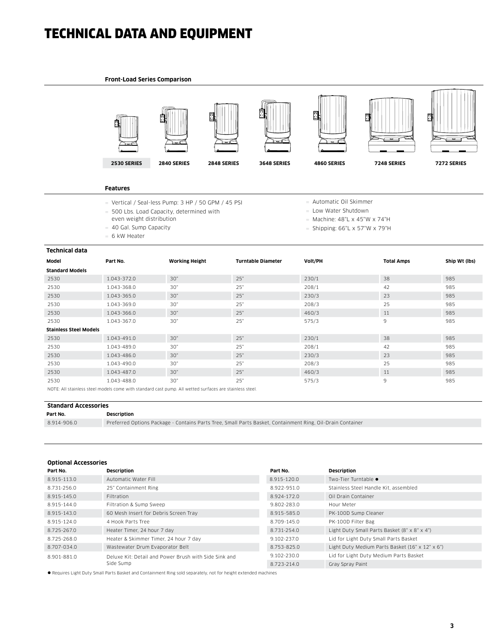# TECHNICAL DATA AND EQUIPMENT

#### **Front-Load Series Comparison**



### **Features**

- $=$  Vertical / Seal-less Pump: 3 HP / 50 GPM / 45 PSI
- 500 Lbs. Load Capacity, determined with
- even weight distribution
- 40 Gal. Sump Capacity
- $= 6$  kW Heater
- Automatic Oil Skimmer
- $=$  Low Water Shutdown
- $=$  Machine: 48"L x 45"W x 74"H
- $=$  Shipping: 66"L x 57"W x 79"H

| <b>Technical data</b>                                                                                           |             |                       |                           |         |                   |               |  |  |
|-----------------------------------------------------------------------------------------------------------------|-------------|-----------------------|---------------------------|---------|-------------------|---------------|--|--|
| Model                                                                                                           | Part No.    | <b>Working Height</b> | <b>Turntable Diameter</b> | Volt/PH | <b>Total Amps</b> | Ship Wt (lbs) |  |  |
| <b>Standard Models</b>                                                                                          |             |                       |                           |         |                   |               |  |  |
| 2530                                                                                                            | 1.043-372.0 | 30"                   | 25"                       | 230/1   | 38                | 985           |  |  |
| 2530                                                                                                            | 1.043-368.0 | 30"                   | 25"                       | 208/1   | 42                | 985           |  |  |
| 2530                                                                                                            | 1.043-365.0 | 30"                   | 25"                       | 230/3   | 23                | 985           |  |  |
| 2530                                                                                                            | 1.043-369.0 | 30"                   | 25"                       | 208/3   | 25                | 985           |  |  |
| 2530                                                                                                            | 1.043-366.0 | 30"                   | 25"                       | 460/3   | 11                | 985           |  |  |
| 2530                                                                                                            | 1.043-367.0 | 30"                   | 25"                       | 575/3   | 9                 | 985           |  |  |
| <b>Stainless Steel Models</b>                                                                                   |             |                       |                           |         |                   |               |  |  |
| 2530                                                                                                            | 1.043-491.0 | 30"                   | 25"                       | 230/1   | 38                | 985           |  |  |
| 2530                                                                                                            | 1.043-489.0 | 30"                   | 25"                       | 208/1   | 42                | 985           |  |  |
| 2530                                                                                                            | 1.043-486.0 | 30"                   | 25"                       | 230/3   | 23                | 985           |  |  |
| 2530                                                                                                            | 1.043-490.0 | 30"                   | 25"                       | 208/3   | 25                | 985           |  |  |
| 2530                                                                                                            | 1.043-487.0 | 30"                   | 25"                       | 460/3   | 11                | 985           |  |  |
| 2530                                                                                                            | 1.043-488.0 | 30"                   | 25"                       | 575/3   | 9                 | 985           |  |  |
| MOTE: All statulate start excelle access coltingiale access access All contract access and acceptational at all |             |                       |                           |         |                   |               |  |  |

NOTE: All stainless steel models come with standard cast pump. All wetted surfaces are stainless steel.

#### **Standard Accessories**

**Part No. Description**

8.914-906.0 Preferred Options Package - Contains Parts Tree, Small Parts Basket, Containment Ring, Oil-Drain Container

## **Optional Accessories**

| Part No.    | <b>Description</b>                                    | Part No.    | <b>Description</b>                              |
|-------------|-------------------------------------------------------|-------------|-------------------------------------------------|
| 8.915-113.0 | Automatic Water Fill                                  | 8.915-120.0 | Two-Tier Turntable ●                            |
| 8.731-256.0 | 25" Containment Ring                                  | 8.922-951.0 | Stainless Steel Handle Kit, assembled           |
| 8.915-145.0 | Filtration                                            | 8.924-172.0 | Oil Drain Container                             |
| 8.915-144.0 | Filtration & Sump Sweep                               | 9.802-283.0 | Hour Meter                                      |
| 8.915-143.0 | 60 Mesh Insert for Debris Screen Tray                 | 8.915-585.0 | PK-100D Sump Cleaner                            |
| 8.915-124.0 | 4 Hook Parts Tree                                     | 8.709-145.0 | PK-100D Filter Bag                              |
| 8.725-267.0 | Heater Timer, 24 hour 7 day                           | 8.731-254.0 | Light Duty Small Parts Basket (8" x 8" x 4")    |
| 8.725-268.0 | Heater & Skimmer Timer, 24 hour 7 day                 | 9.102-237.0 | Lid for Light Duty Small Parts Basket           |
| 8.707-034.0 | Wastewater Drum Evaporator Belt                       | 8.753-825.0 | Light Duty Medium Parts Basket (16" x 12" x 6") |
| 8.901-881.0 | Deluxe Kit: Detail and Power Brush with Side Sink and | 9.102-230.0 | Lid for Light Duty Medium Parts Basket          |
|             | Side Sump                                             | 8.723-214.0 | Gray Spray Paint                                |
|             |                                                       |             |                                                 |

l Requires Light Duty Small Parts Basket and Containment Ring sold separately, not for height extended machines